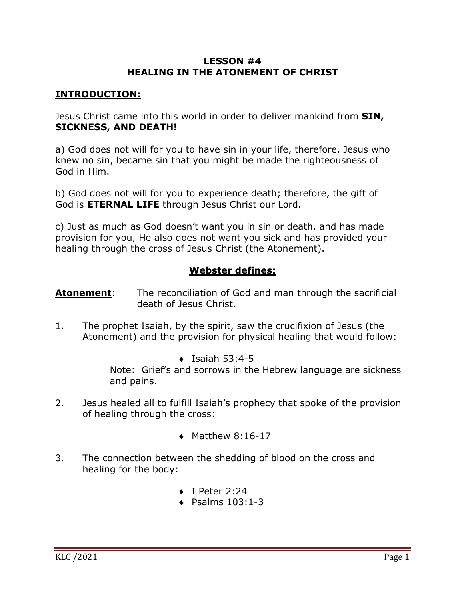#### **LESSON #4 HEALING IN THE ATONEMENT OF CHRIST**

### **INTRODUCTION:**

Jesus Christ came into this world in order to deliver mankind from **SIN, SICKNESS, AND DEATH!**

a) God does not will for you to have sin in your life, therefore, Jesus who knew no sin, became sin that you might be made the righteousness of God in Him.

b) God does not will for you to experience death; therefore, the gift of God is **ETERNAL LIFE** through Jesus Christ our Lord.

c) Just as much as God doesn't want you in sin or death, and has made provision for you, He also does not want you sick and has provided your healing through the cross of Jesus Christ (the Atonement).

## **Webster defines:**

**Atonement:** The reconciliation of God and man through the sacrificial death of Jesus Christ.

- 1. The prophet Isaiah, by the spirit, saw the crucifixion of Jesus (the Atonement) and the provision for physical healing that would follow:
	- $\bullet$  Isaiah 53:4-5

Note: Grief's and sorrows in the Hebrew language are sickness and pains.

- 2. Jesus healed all to fulfill Isaiah's prophecy that spoke of the provision of healing through the cross:
	- $\blacklozenge$  Matthew 8:16-17
- 3. The connection between the shedding of blood on the cross and healing for the body:
	- $\bullet$  I Peter 2:24
	- $\bullet$  Psalms 103:1-3